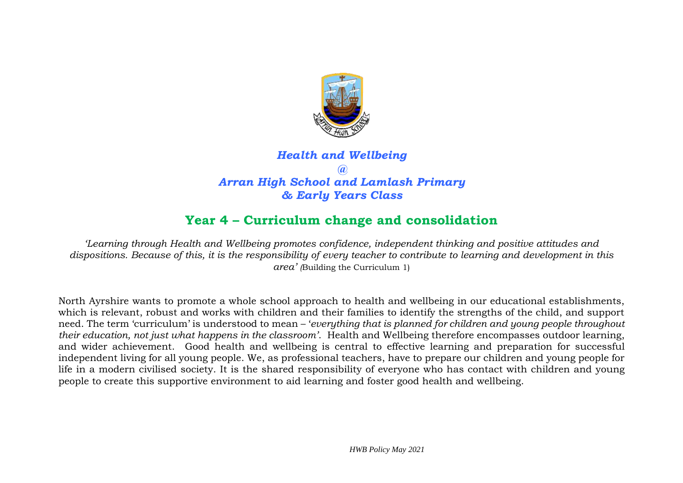

# *Health and Wellbeing @ Arran High School and Lamlash Primary & Early Years Class*

# **Year 4 – Curriculum change and consolidation**

*'Learning through Health and Wellbeing promotes confidence, independent thinking and positive attitudes and dispositions. Because of this, it is the responsibility of every teacher to contribute to learning and development in this area' (*Building the Curriculum 1)

North Ayrshire wants to promote a whole school approach to health and wellbeing in our educational establishments, which is relevant, robust and works with children and their families to identify the strengths of the child, and support need. The term 'curriculum' is understood to mean – '*everything that is planned for children and young people throughout their education, not just what happens in the classroom'*. Health and Wellbeing therefore encompasses outdoor learning, and wider achievement. Good health and wellbeing is central to effective learning and preparation for successful independent living for all young people. We, as professional teachers, have to prepare our children and young people for life in a modern civilised society. It is the shared responsibility of everyone who has contact with children and young people to create this supportive environment to aid learning and foster good health and wellbeing.

*HWB Policy May 2021*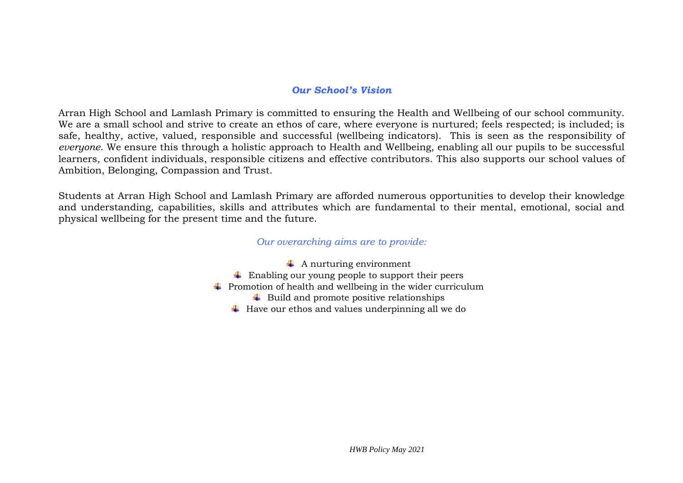#### *Our School's Vision*

Arran High School and Lamlash Primary is committed to ensuring the Health and Wellbeing of our school community. We are a small school and strive to create an ethos of care, where everyone is nurtured; feels respected; is included; is safe, healthy, active, valued, responsible and successful (wellbeing indicators). This is seen as the responsibility of *everyone*. We ensure this through a holistic approach to Health and Wellbeing, enabling all our pupils to be successful learners, confident individuals, responsible citizens and effective contributors. This also supports our school values of Ambition, Belonging, Compassion and Trust.

Students at Arran High School and Lamlash Primary are afforded numerous opportunities to develop their knowledge and understanding, capabilities, skills and attributes which are fundamental to their mental, emotional, social and physical wellbeing for the present time and the future.

#### *Our overarching aims are to provide:*

 $\downarrow$  A nurturing environment  $\overline{\phantom{a} \bullet}$  Enabling our young people to support their peers  $\ddot{\phantom{1}}$  Promotion of health and wellbeing in the wider curriculum  $\overline{\phantom{a} \bullet}$  Build and promote positive relationships  $\overline{\phantom{a}}$  Have our ethos and values underpinning all we do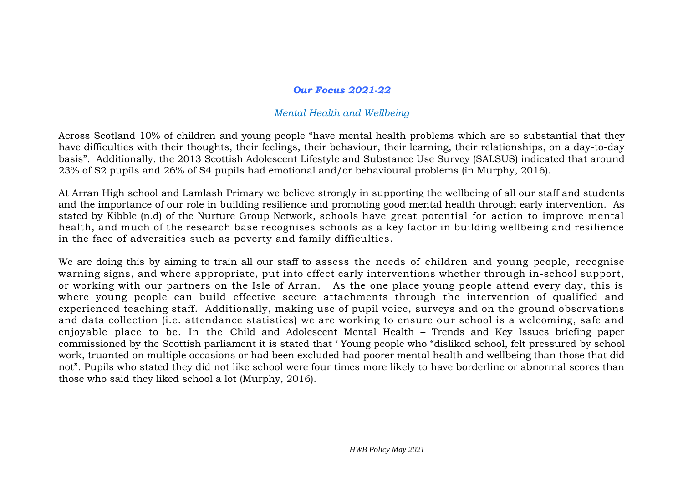#### *Our Focus 2021-22*

#### *Mental Health and Wellbeing*

Across Scotland 10% of children and young people "have mental health problems which are so substantial that they have difficulties with their thoughts, their feelings, their behaviour, their learning, their relationships, on a day-to-day basis". Additionally, the 2013 Scottish Adolescent Lifestyle and Substance Use Survey (SALSUS) indicated that around 23% of S2 pupils and 26% of S4 pupils had emotional and/or behavioural problems (in Murphy, 2016).

At Arran High school and Lamlash Primary we believe strongly in supporting the wellbeing of all our staff and students and the importance of our role in building resilience and promoting good mental health through early intervention. As stated by Kibble (n.d) of the Nurture Group Network, schools have great potential for action to improve mental health, and much of the research base recognises schools as a key factor in building wellbeing and resilience in the face of adversities such as poverty and family difficulties.

We are doing this by aiming to train all our staff to assess the needs of children and young people, recognise warning signs, and where appropriate, put into effect early interventions whether through in-school support, or working with our partners on the Isle of Arran. As the one place young people attend every day, this is where young people can build effective secure attachments through the intervention of qualified and experienced teaching staff. Additionally, making use of pupil voice, surveys and on the ground observations and data collection (i.e. attendance statistics) we are working to ensure our school is a welcoming, safe and enjoyable place to be. In the Child and Adolescent Mental Health – Trends and Key Issues briefing paper commissioned by the Scottish parliament it is stated that ' Young people who "disliked school, felt pressured by school work, truanted on multiple occasions or had been excluded had poorer mental health and wellbeing than those that did not". Pupils who stated they did not like school were four times more likely to have borderline or abnormal scores than those who said they liked school a lot (Murphy, 2016).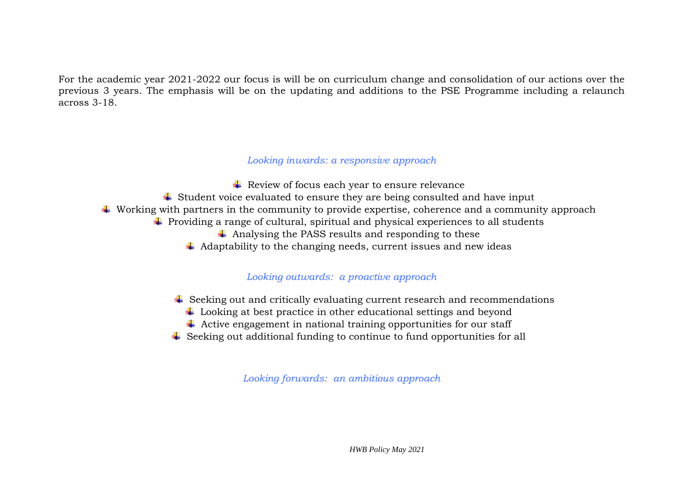For the academic year 2021-2022 our focus is will be on curriculum change and consolidation of our actions over the previous 3 years. The emphasis will be on the updating and additions to the PSE Programme including a relaunch across 3-18.

#### *Looking inwards: a responsive approach*

- $\overline{\phantom{a}}$  Review of focus each year to ensure relevance
- $\ddot{\bullet}$  Student voice evaluated to ensure they are being consulted and have input
- $\ddot{\bullet}$  Working with partners in the community to provide expertise, coherence and a community approach
	- $\ddot{\bullet}$  Providing a range of cultural, spiritual and physical experiences to all students
		- $\overline{\phantom{a}}$  Analysing the PASS results and responding to these
		- $\overline{\phantom{a}}$  Adaptability to the changing needs, current issues and new ideas

#### *Looking outwards: a proactive approach*

- $\ddot{\bullet}$  Seeking out and critically evaluating current research and recommendations
	- $\ddot{\phantom{1}}$  Looking at best practice in other educational settings and beyond
	- $\overline{\phantom{a} \overline{\phantom{a}}}$  Active engagement in national training opportunities for our staff
- $\ddot{\phantom{1}}$  Seeking out additional funding to continue to fund opportunities for all

*Looking forwards: an ambitious approach*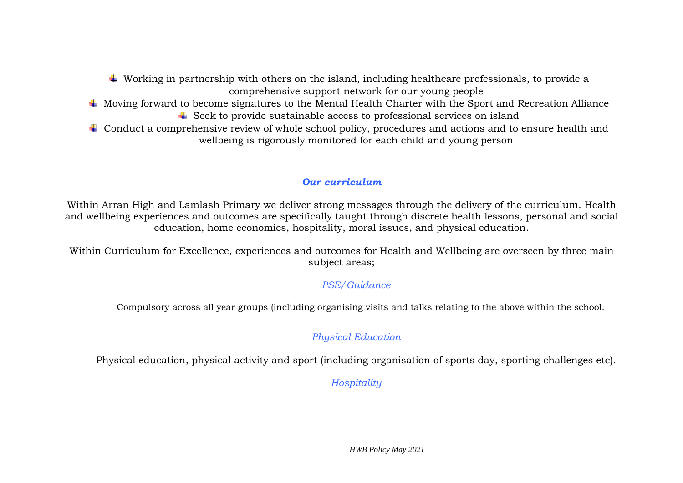- $\ddot{\bullet}$  Working in partnership with others on the island, including healthcare professionals, to provide a comprehensive support network for our young people
- $\ddot{\text{+}}$  Moving forward to become signatures to the Mental Health Charter with the Sport and Recreation Alliance
	- $\overline{\phantom{a}}$  Seek to provide sustainable access to professional services on island
- $\pm$  Conduct a comprehensive review of whole school policy, procedures and actions and to ensure health and wellbeing is rigorously monitored for each child and young person

## *Our curriculum*

Within Arran High and Lamlash Primary we deliver strong messages through the delivery of the curriculum. Health and wellbeing experiences and outcomes are specifically taught through discrete health lessons, personal and social education, home economics, hospitality, moral issues, and physical education.

Within Curriculum for Excellence, experiences and outcomes for Health and Wellbeing are overseen by three main subject areas;

## *PSE/Guidance*

Compulsory across all year groups (including organising visits and talks relating to the above within the school.

## *Physical Education*

Physical education, physical activity and sport (including organisation of sports day, sporting challenges etc).

*Hospitality*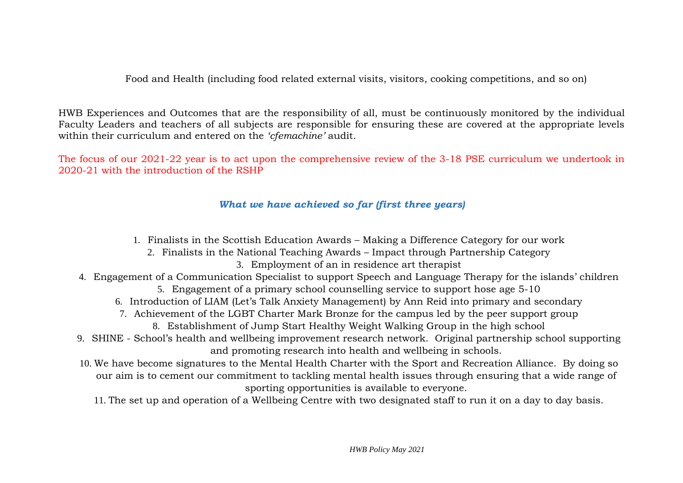Food and Health (including food related external visits, visitors, cooking competitions, and so on)

HWB Experiences and Outcomes that are the responsibility of all, must be continuously monitored by the individual Faculty Leaders and teachers of all subjects are responsible for ensuring these are covered at the appropriate levels within their curriculum and entered on the *'cfemachine'* audit.

The focus of our 2021-22 year is to act upon the comprehensive review of the 3-18 PSE curriculum we undertook in 2020-21 with the introduction of the RSHP

### *What we have achieved so far (first three years)*

- 1. Finalists in the Scottish Education Awards Making a Difference Category for our work
	- 2. Finalists in the National Teaching Awards Impact through Partnership Category
		- 3. Employment of an in residence art therapist
- 4. Engagement of a Communication Specialist to support Speech and Language Therapy for the islands' children 5. Engagement of a primary school counselling service to support hose age 5-10
	- 6. Introduction of LIAM (Let's Talk Anxiety Management) by Ann Reid into primary and secondary
	- 7. Achievement of the LGBT Charter Mark Bronze for the campus led by the peer support group
		- 8. Establishment of Jump Start Healthy Weight Walking Group in the high school
- 9. SHINE School's health and wellbeing improvement research network. Original partnership school supporting and promoting research into health and wellbeing in schools.
- 10. We have become signatures to the Mental Health Charter with the Sport and Recreation Alliance. By doing so our aim is to cement our commitment to tackling mental health issues through ensuring that a wide range of sporting opportunities is available to everyone.
	- 11. The set up and operation of a Wellbeing Centre with two designated staff to run it on a day to day basis.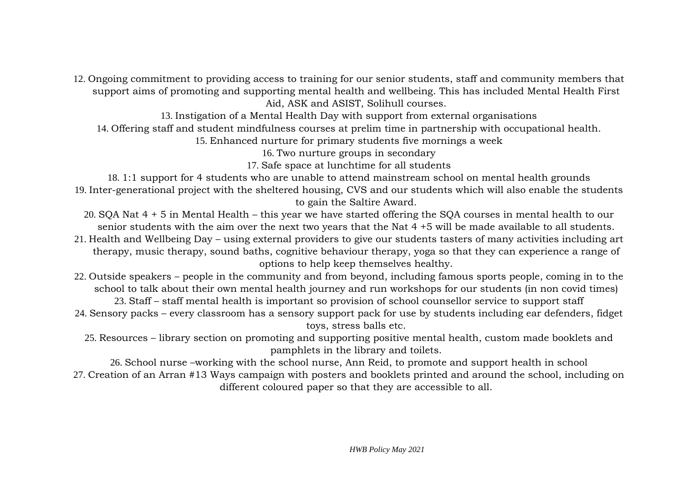12. Ongoing commitment to providing access to training for our senior students, staff and community members that support aims of promoting and supporting mental health and wellbeing. This has included Mental Health First Aid, ASK and ASIST, Solihull courses.

13. Instigation of a Mental Health Day with support from external organisations

14. Offering staff and student mindfulness courses at prelim time in partnership with occupational health.

15. Enhanced nurture for primary students five mornings a week

16. Two nurture groups in secondary

17. Safe space at lunchtime for all students

18. 1:1 support for 4 students who are unable to attend mainstream school on mental health grounds 19. Inter-generational project with the sheltered housing, CVS and our students which will also enable the students to gain the Saltire Award.

20. SQA Nat 4 + 5 in Mental Health – this year we have started offering the SQA courses in mental health to our senior students with the aim over the next two years that the Nat 4 +5 will be made available to all students.

- 21. Health and Wellbeing Day using external providers to give our students tasters of many activities including art therapy, music therapy, sound baths, cognitive behaviour therapy, yoga so that they can experience a range of options to help keep themselves healthy.
- 22. Outside speakers people in the community and from beyond, including famous sports people, coming in to the school to talk about their own mental health journey and run workshops for our students (in non covid times) 23. Staff – staff mental health is important so provision of school counsellor service to support staff
- 24. Sensory packs every classroom has a sensory support pack for use by students including ear defenders, fidget toys, stress balls etc.

25. Resources – library section on promoting and supporting positive mental health, custom made booklets and pamphlets in the library and toilets.

26. School nurse –working with the school nurse, Ann Reid, to promote and support health in school 27. Creation of an Arran #13 Ways campaign with posters and booklets printed and around the school, including on different coloured paper so that they are accessible to all.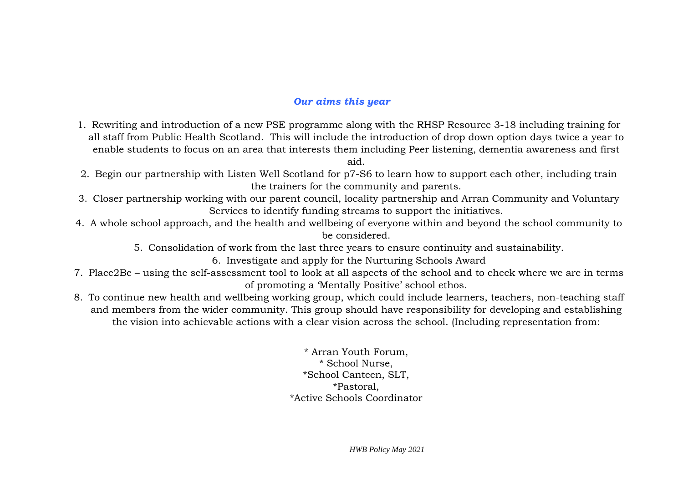#### *Our aims this year*

1. Rewriting and introduction of a new PSE programme along with the RHSP Resource 3-18 including training for all staff from Public Health Scotland. This will include the introduction of drop down option days twice a year to enable students to focus on an area that interests them including Peer listening, dementia awareness and first

aid.

- 2. Begin our partnership with Listen Well Scotland for p7-S6 to learn how to support each other, including train the trainers for the community and parents.
- 3. Closer partnership working with our parent council, locality partnership and Arran Community and Voluntary Services to identify funding streams to support the initiatives.
- 4. A whole school approach, and the health and wellbeing of everyone within and beyond the school community to be considered.
	- 5. Consolidation of work from the last three years to ensure continuity and sustainability.

6. Investigate and apply for the Nurturing Schools Award

- 7. Place2Be using the self-assessment tool to look at all aspects of the school and to check where we are in terms of promoting a 'Mentally Positive' school ethos.
- 8. To continue new health and wellbeing working group, which could include learners, teachers, non-teaching staff and members from the wider community. This group should have responsibility for developing and establishing the vision into achievable actions with a clear vision across the school. (Including representation from:

\* Arran Youth Forum, \* School Nurse, \*School Canteen, SLT, \*Pastoral, \*Active Schools Coordinator

*HWB Policy May 2021*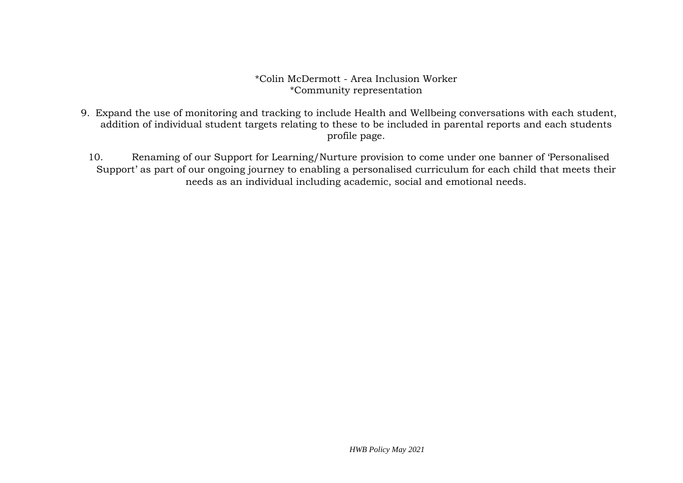#### \*Colin McDermott - Area Inclusion Worker \*Community representation

- 9. Expand the use of monitoring and tracking to include Health and Wellbeing conversations with each student, addition of individual student targets relating to these to be included in parental reports and each students profile page.
	- 10. Renaming of our Support for Learning/Nurture provision to come under one banner of 'Personalised Support' as part of our ongoing journey to enabling a personalised curriculum for each child that meets their needs as an individual including academic, social and emotional needs.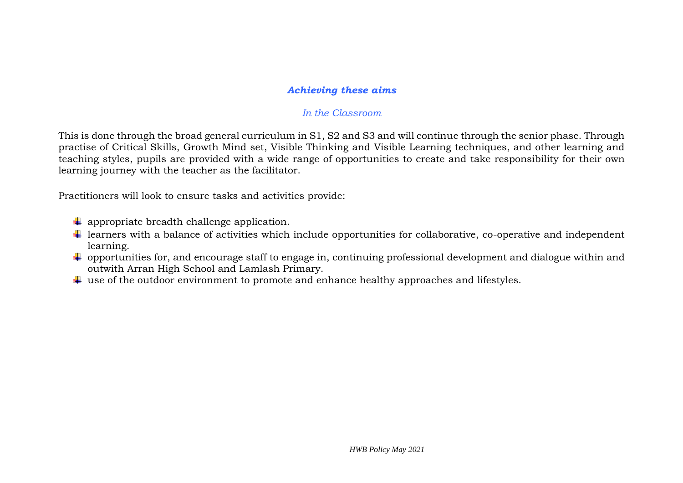### *Achieving these aims*

#### *In the Classroom*

This is done through the broad general curriculum in S1, S2 and S3 and will continue through the senior phase. Through practise of Critical Skills, Growth Mind set, Visible Thinking and Visible Learning techniques, and other learning and teaching styles, pupils are provided with a wide range of opportunities to create and take responsibility for their own learning journey with the teacher as the facilitator.

Practitioners will look to ensure tasks and activities provide:

- $\downarrow$  appropriate breadth challenge application.
- $\ddot{\phantom{a}}$  learners with a balance of activities which include opportunities for collaborative, co-operative and independent learning.
- ↓ opportunities for, and encourage staff to engage in, continuing professional development and dialogue within and outwith Arran High School and Lamlash Primary.
- $\ddot{\bullet}$  use of the outdoor environment to promote and enhance healthy approaches and lifestyles.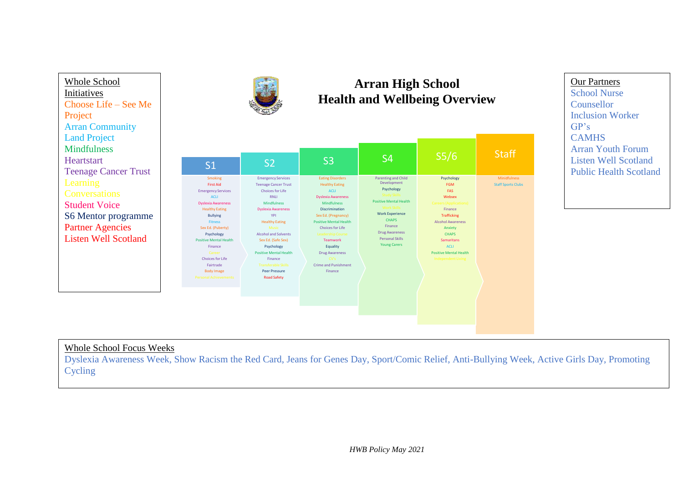



# **Arran High School Health and Wellbeing Overview**

| S <sub>5</sub> /6                                                                                                                                                                                                                                      | S4                                                                                                                                                                                                                                                                   | S <sub>3</sub>                                                                                                                                                                                                                                                                                                                                                       | S <sub>2</sub>                                                                                                                                                                                                                                                                                                                                                                            | S <sub>1</sub>                                                                                                                                                                                                                                                                                                                                           |
|--------------------------------------------------------------------------------------------------------------------------------------------------------------------------------------------------------------------------------------------------------|----------------------------------------------------------------------------------------------------------------------------------------------------------------------------------------------------------------------------------------------------------------------|----------------------------------------------------------------------------------------------------------------------------------------------------------------------------------------------------------------------------------------------------------------------------------------------------------------------------------------------------------------------|-------------------------------------------------------------------------------------------------------------------------------------------------------------------------------------------------------------------------------------------------------------------------------------------------------------------------------------------------------------------------------------------|----------------------------------------------------------------------------------------------------------------------------------------------------------------------------------------------------------------------------------------------------------------------------------------------------------------------------------------------------------|
| Psychology<br><b>FGM</b><br>FAS<br>Websex<br><b>Careers (Applications)</b><br>Finance<br><b>Trafficking</b><br><b>Alcohol Awareness</b><br>Anxiety<br><b>CHAPS</b><br><b>Samaritans</b><br>ACLI<br><b>Positive Mental Health</b><br>Independent Living | <b>Parenting and Child</b><br>Development<br>Psychology<br><b>Study Skills</b><br><b>Positive Mental Health</b><br><b>Work Skills</b><br><b>Work Experience</b><br><b>CHAPS</b><br>Finance<br><b>Drug Awareness</b><br><b>Personal Skills</b><br><b>Young Carers</b> | <b>Eating Disorders</b><br><b>Healthy Eating</b><br><b>ACLI</b><br><b>Dyslexia Awareness</b><br><b>Mindfulness</b><br><b>Discrimination</b><br>Sex Ed. (Pregnancy)<br><b>Positive Mental Health</b><br><b>Choices for Life</b><br><b>Leadership Course</b><br><b>Teamwork</b><br>Equality<br><b>Drug Awareness</b><br>CV's<br><b>Crime and Punishment</b><br>Finance | <b>Emergency Services</b><br><b>Teenage Cancer Trust</b><br><b>Choices for Life</b><br>RNII<br><b>Mindfulness</b><br><b>Dyslexia Awareness</b><br>YPI<br><b>Healthy Eating</b><br><b>Music</b><br><b>Alcohol and Solvents</b><br>Sex Ed. (Safe Sex)<br>Psychology<br><b>Positive Mental Health</b><br>Finance<br><b>Transferable Skills</b><br><b>Peer Pressure</b><br><b>Road Safety</b> | Smoking<br><b>First Aid</b><br><b>Emergency Services</b><br><b>ACLI</b><br><b>Dyslexia Awareness</b><br><b>Healthy Eating</b><br><b>Bullying</b><br><b>Fitness</b><br>Sex Ed. (Puberty)<br>Psychology<br><b>Positive Mental Health</b><br>Finance<br>Career<br><b>Choices for Life</b><br>Fairtrade<br><b>Body Image</b><br><b>Personal Achievements</b> |

#### Our Partners School Nurse Counsellor Inclusion Worker GP's CAMHS Arran Youth Forum

Listen Well Scotland Public Health Scotland

# Whole School Focus Weeks

Dyslexia Awareness Week, Show Racism the Red Card, Jeans for Genes Day, Sport/Comic Relief, Anti-Bullying Week, Active Girls Day, Promoting Cycling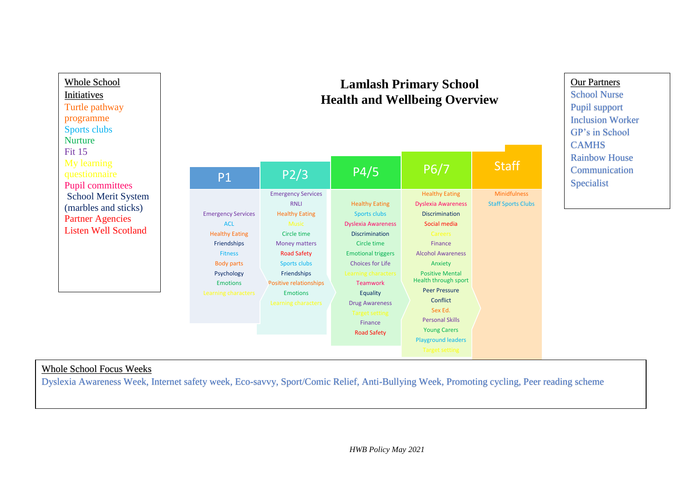

#### Whole School Focus Weeks

Dyslexia Awareness Week, Internet safety week, Eco-savvy, Sport/Comic Relief, Anti-Bullying Week, Promoting cycling, Peer reading scheme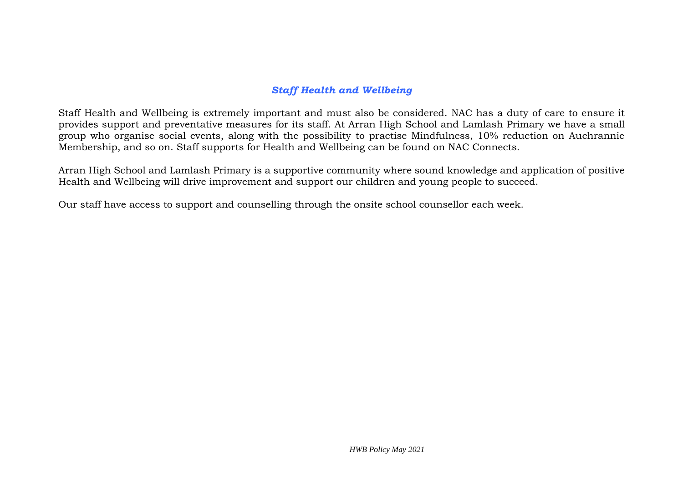## *Staff Health and Wellbeing*

Staff Health and Wellbeing is extremely important and must also be considered. NAC has a duty of care to ensure it provides support and preventative measures for its staff. At Arran High School and Lamlash Primary we have a small group who organise social events, along with the possibility to practise Mindfulness, 10% reduction on Auchrannie Membership, and so on. Staff supports for Health and Wellbeing can be found on NAC Connects.

Arran High School and Lamlash Primary is a supportive community where sound knowledge and application of positive Health and Wellbeing will drive improvement and support our children and young people to succeed.

Our staff have access to support and counselling through the onsite school counsellor each week.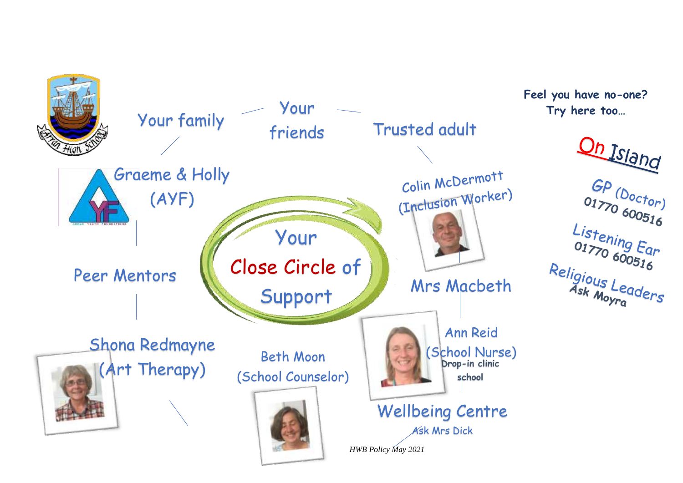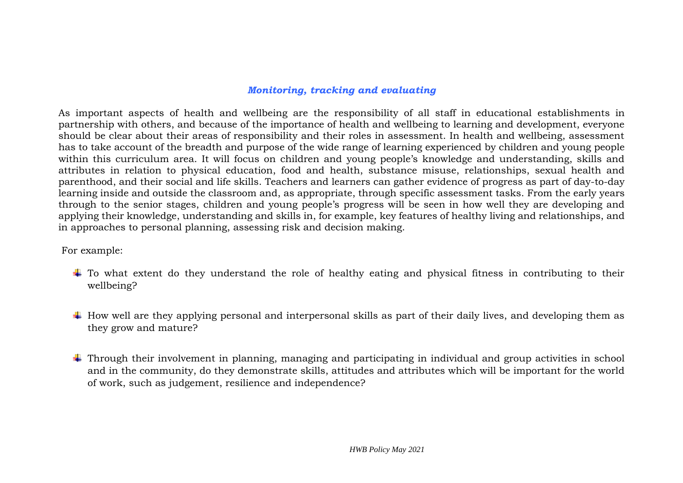### *Monitoring, tracking and evaluating*

As important aspects of health and wellbeing are the responsibility of all staff in educational establishments in partnership with others, and because of the importance of health and wellbeing to learning and development, everyone should be clear about their areas of responsibility and their roles in assessment. In health and wellbeing, assessment has to take account of the breadth and purpose of the wide range of learning experienced by children and young people within this curriculum area. It will focus on children and young people's knowledge and understanding, skills and attributes in relation to physical education, food and health, substance misuse, relationships, sexual health and parenthood, and their social and life skills. Teachers and learners can gather evidence of progress as part of day-to-day learning inside and outside the classroom and, as appropriate, through specific assessment tasks. From the early years through to the senior stages, children and young people's progress will be seen in how well they are developing and applying their knowledge, understanding and skills in, for example, key features of healthy living and relationships, and in approaches to personal planning, assessing risk and decision making.

For example:

- $\ddot{\phantom{1}}$  To what extent do they understand the role of healthy eating and physical fitness in contributing to their wellbeing?
- $\pm$  How well are they applying personal and interpersonal skills as part of their daily lives, and developing them as they grow and mature?
- ↓ Through their involvement in planning, managing and participating in individual and group activities in school and in the community, do they demonstrate skills, attitudes and attributes which will be important for the world of work, such as judgement, resilience and independence?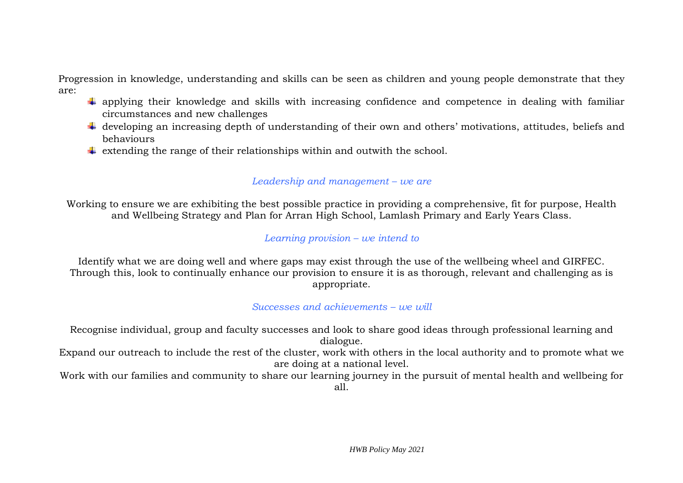Progression in knowledge, understanding and skills can be seen as children and young people demonstrate that they are:

- $\ddot{\bullet}$  applying their knowledge and skills with increasing confidence and competence in dealing with familiar circumstances and new challenges
- $\ddot{\phantom{a}}$  developing an increasing depth of understanding of their own and others' motivations, attitudes, beliefs and behaviours
- $\ddot{\bullet}$  extending the range of their relationships within and outwith the school.

## *Leadership and management – we are*

Working to ensure we are exhibiting the best possible practice in providing a comprehensive, fit for purpose, Health and Wellbeing Strategy and Plan for Arran High School, Lamlash Primary and Early Years Class.

## *Learning provision – we intend to*

Identify what we are doing well and where gaps may exist through the use of the wellbeing wheel and GIRFEC. Through this, look to continually enhance our provision to ensure it is as thorough, relevant and challenging as is appropriate.

*Successes and achievements – we will*

Recognise individual, group and faculty successes and look to share good ideas through professional learning and dialogue. Expand our outreach to include the rest of the cluster, work with others in the local authority and to promote what we

are doing at a national level.

Work with our families and community to share our learning journey in the pursuit of mental health and wellbeing for all.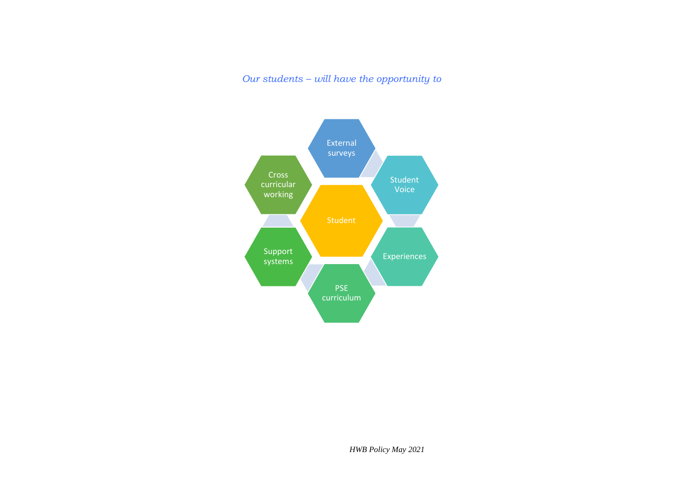*Our students – will have the opportunity to*

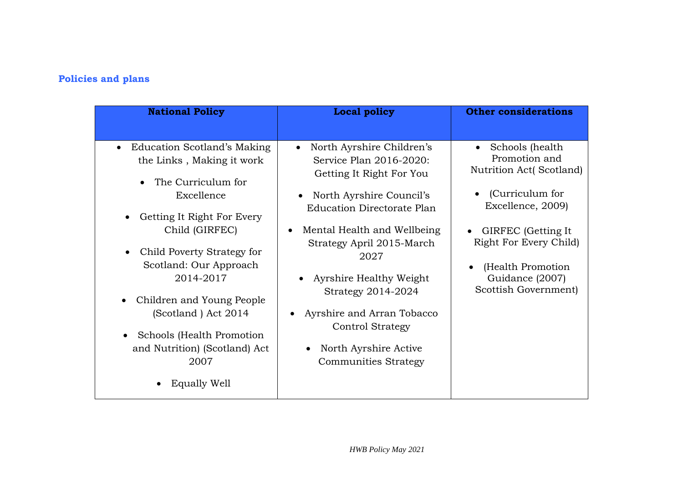# **Policies and plans**

| <b>National Policy</b>                   | <b>Local policy</b>                                      | <b>Other considerations</b>                   |
|------------------------------------------|----------------------------------------------------------|-----------------------------------------------|
|                                          |                                                          |                                               |
| Education Scotland's Making<br>$\bullet$ | North Ayrshire Children's                                | Schools (health<br>Promotion and              |
| the Links, Making it work                | Service Plan 2016-2020:                                  | Nutrition Act(Scotland)                       |
| The Curriculum for                       | Getting It Right For You                                 |                                               |
| Excellence                               | North Ayrshire Council's<br>$\bullet$                    | (Curriculum for                               |
|                                          | <b>Education Directorate Plan</b>                        | Excellence, 2009)                             |
| Getting It Right For Every               |                                                          |                                               |
| Child (GIRFEC)                           | Mental Health and Wellbeing<br>Strategy April 2015-March | GIRFEC (Getting It)<br>Right For Every Child) |
| Child Poverty Strategy for<br>$\bullet$  | 2027                                                     |                                               |
| Scotland: Our Approach                   |                                                          | (Health Promotion)<br>$\bullet$               |
| 2014-2017                                | Ayrshire Healthy Weight                                  | Guidance (2007)                               |
| Children and Young People                | Strategy 2014-2024                                       | Scottish Government)                          |
| (Scotland) Act 2014                      | Ayrshire and Arran Tobacco                               |                                               |
|                                          | <b>Control Strategy</b>                                  |                                               |
| Schools (Health Promotion<br>$\bullet$   |                                                          |                                               |
| and Nutrition) (Scotland) Act            | North Ayrshire Active<br>$\bullet$                       |                                               |
| 2007                                     | <b>Communities Strategy</b>                              |                                               |
| <b>Equally Well</b>                      |                                                          |                                               |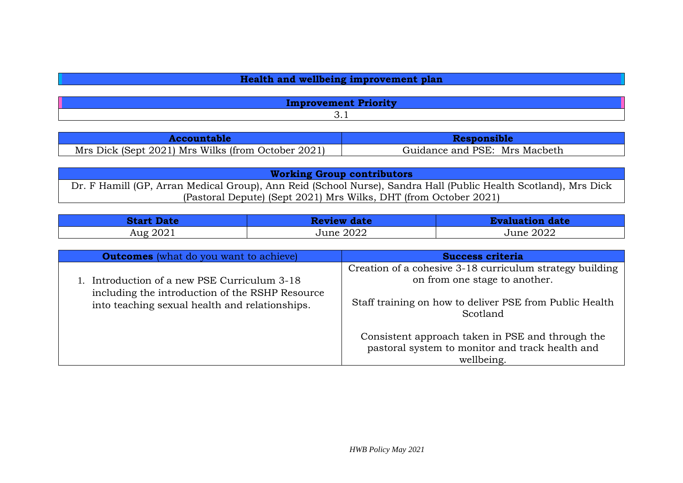| Health and wellbeing improvement plan |  |
|---------------------------------------|--|
|---------------------------------------|--|

| Mrs Dick (Sept 2021) Mrs Wilks (from October 2021) | Guidance and PSE: Mrs Macbeth |
|----------------------------------------------------|-------------------------------|

**Working Group contributors** Dr. F Hamill (GP, Arran Medical Group), Ann Reid (School Nurse), Sandra Hall (Public Health Scotland), Mrs Dick (Pastoral Depute) (Sept 2021) Mrs Wilks, DHT (from October 2021)

| <b>Start Date</b> | Review date | <b>Evaluation date</b> |
|-------------------|-------------|------------------------|
| Aug 2021          | June 2022   | June 2022              |

| <b>Outcomes</b> (what do you want to achieve)                                                     | <b>Success criteria</b>                                                                                           |
|---------------------------------------------------------------------------------------------------|-------------------------------------------------------------------------------------------------------------------|
| 1. Introduction of a new PSE Curriculum 3-18                                                      | Creation of a cohesive 3-18 curriculum strategy building<br>on from one stage to another.                         |
| including the introduction of the RSHP Resource<br>into teaching sexual health and relationships. | Staff training on how to deliver PSE from Public Health<br>Scotland                                               |
|                                                                                                   | Consistent approach taken in PSE and through the<br>pastoral system to monitor and track health and<br>wellbeing. |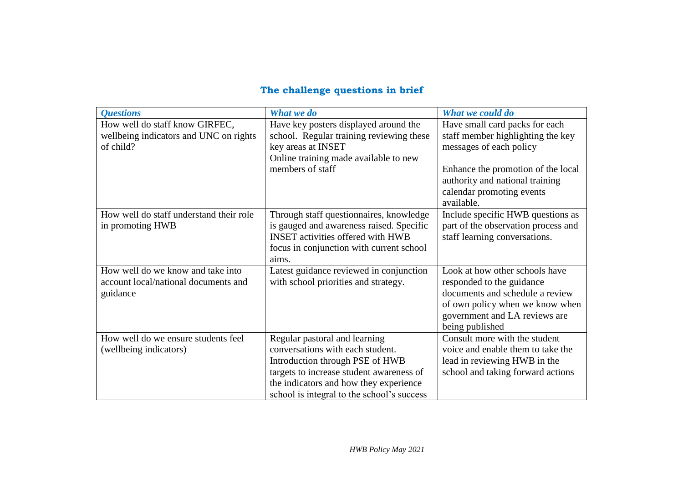# **The challenge questions in brief**

| <b>Ouestions</b>                                                                      | What we do                                                                                                                                                                                                                               | What we could do                                                                                                                                                                                                   |
|---------------------------------------------------------------------------------------|------------------------------------------------------------------------------------------------------------------------------------------------------------------------------------------------------------------------------------------|--------------------------------------------------------------------------------------------------------------------------------------------------------------------------------------------------------------------|
| How well do staff know GIRFEC,<br>wellbeing indicators and UNC on rights<br>of child? | Have key posters displayed around the<br>school. Regular training reviewing these<br>key areas at INSET<br>Online training made available to new<br>members of staff                                                                     | Have small card packs for each<br>staff member highlighting the key<br>messages of each policy<br>Enhance the promotion of the local<br>authority and national training<br>calendar promoting events<br>available. |
| How well do staff understand their role<br>in promoting HWB                           | Through staff questionnaires, knowledge<br>is gauged and awareness raised. Specific<br><b>INSET</b> activities offered with HWB<br>focus in conjunction with current school<br>aims.                                                     | Include specific HWB questions as<br>part of the observation process and<br>staff learning conversations.                                                                                                          |
| How well do we know and take into<br>account local/national documents and<br>guidance | Latest guidance reviewed in conjunction<br>with school priorities and strategy.                                                                                                                                                          | Look at how other schools have<br>responded to the guidance<br>documents and schedule a review<br>of own policy when we know when<br>government and LA reviews are<br>being published                              |
| How well do we ensure students feel<br>(wellbeing indicators)                         | Regular pastoral and learning<br>conversations with each student.<br>Introduction through PSE of HWB<br>targets to increase student awareness of<br>the indicators and how they experience<br>school is integral to the school's success | Consult more with the student<br>voice and enable them to take the<br>lead in reviewing HWB in the<br>school and taking forward actions                                                                            |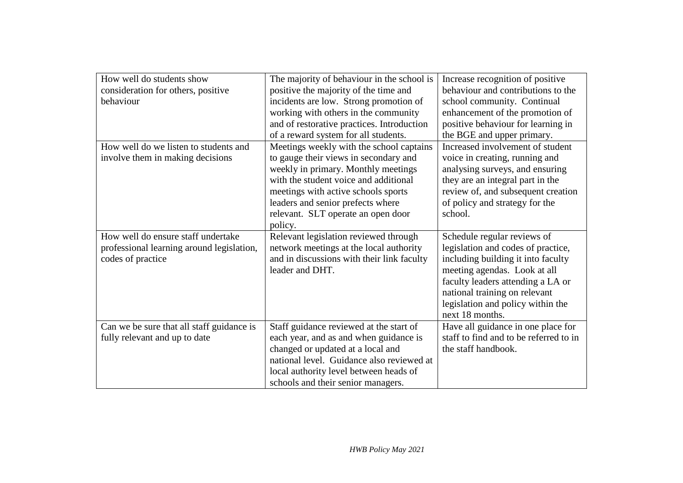| How well do students show                 | The majority of behaviour in the school is | Increase recognition of positive       |
|-------------------------------------------|--------------------------------------------|----------------------------------------|
| consideration for others, positive        | positive the majority of the time and      | behaviour and contributions to the     |
| behaviour                                 | incidents are low. Strong promotion of     | school community. Continual            |
|                                           | working with others in the community       | enhancement of the promotion of        |
|                                           | and of restorative practices. Introduction | positive behaviour for learning in     |
|                                           | of a reward system for all students.       | the BGE and upper primary.             |
| How well do we listen to students and     | Meetings weekly with the school captains   | Increased involvement of student       |
| involve them in making decisions          | to gauge their views in secondary and      | voice in creating, running and         |
|                                           | weekly in primary. Monthly meetings        | analysing surveys, and ensuring        |
|                                           | with the student voice and additional      | they are an integral part in the       |
|                                           | meetings with active schools sports        | review of, and subsequent creation     |
|                                           | leaders and senior prefects where          | of policy and strategy for the         |
|                                           | relevant. SLT operate an open door         | school.                                |
|                                           | policy.                                    |                                        |
| How well do ensure staff undertake        | Relevant legislation reviewed through      | Schedule regular reviews of            |
| professional learning around legislation, | network meetings at the local authority    | legislation and codes of practice,     |
| codes of practice                         | and in discussions with their link faculty | including building it into faculty     |
|                                           | leader and DHT.                            | meeting agendas. Look at all           |
|                                           |                                            | faculty leaders attending a LA or      |
|                                           |                                            | national training on relevant          |
|                                           |                                            | legislation and policy within the      |
|                                           |                                            | next 18 months.                        |
| Can we be sure that all staff guidance is | Staff guidance reviewed at the start of    | Have all guidance in one place for     |
| fully relevant and up to date             | each year, and as and when guidance is     | staff to find and to be referred to in |
|                                           | changed or updated at a local and          | the staff handbook.                    |
|                                           | national level. Guidance also reviewed at  |                                        |
|                                           | local authority level between heads of     |                                        |
|                                           | schools and their senior managers.         |                                        |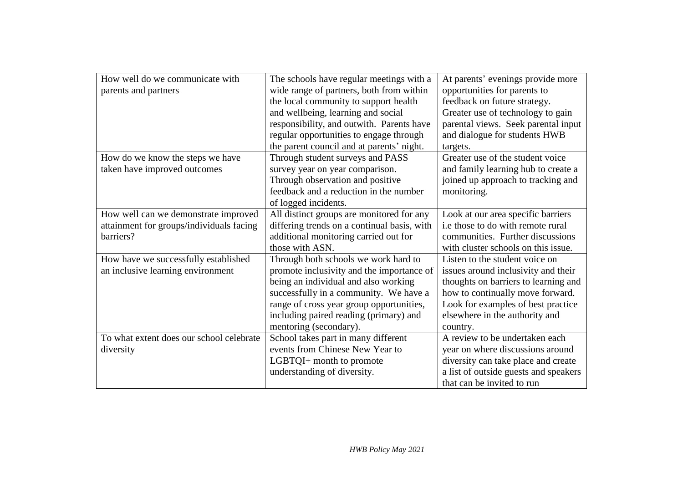| How well do we communicate with          | The schools have regular meetings with a    | At parents' evenings provide more     |
|------------------------------------------|---------------------------------------------|---------------------------------------|
| parents and partners                     | wide range of partners, both from within    | opportunities for parents to          |
|                                          | the local community to support health       | feedback on future strategy.          |
|                                          | and wellbeing, learning and social          | Greater use of technology to gain     |
|                                          | responsibility, and outwith. Parents have   | parental views. Seek parental input   |
|                                          | regular opportunities to engage through     | and dialogue for students HWB         |
|                                          | the parent council and at parents' night.   | targets.                              |
| How do we know the steps we have         | Through student surveys and PASS            | Greater use of the student voice      |
| taken have improved outcomes             | survey year on year comparison.             | and family learning hub to create a   |
|                                          | Through observation and positive            | joined up approach to tracking and    |
|                                          | feedback and a reduction in the number      | monitoring.                           |
|                                          | of logged incidents.                        |                                       |
| How well can we demonstrate improved     | All distinct groups are monitored for any   | Look at our area specific barriers    |
| attainment for groups/individuals facing | differing trends on a continual basis, with | i.e those to do with remote rural     |
| barriers?                                | additional monitoring carried out for       | communities. Further discussions      |
|                                          | those with ASN.                             | with cluster schools on this issue.   |
| How have we successfully established     | Through both schools we work hard to        | Listen to the student voice on        |
| an inclusive learning environment        | promote inclusivity and the importance of   | issues around inclusivity and their   |
|                                          | being an individual and also working        | thoughts on barriers to learning and  |
|                                          | successfully in a community. We have a      | how to continually move forward.      |
|                                          | range of cross year group opportunities,    | Look for examples of best practice    |
|                                          | including paired reading (primary) and      | elsewhere in the authority and        |
|                                          | mentoring (secondary).                      | country.                              |
| To what extent does our school celebrate | School takes part in many different         | A review to be undertaken each        |
| diversity                                | events from Chinese New Year to             | year on where discussions around      |
|                                          | LGBTQI+ month to promote                    | diversity can take place and create   |
|                                          | understanding of diversity.                 | a list of outside guests and speakers |
|                                          |                                             | that can be invited to run            |